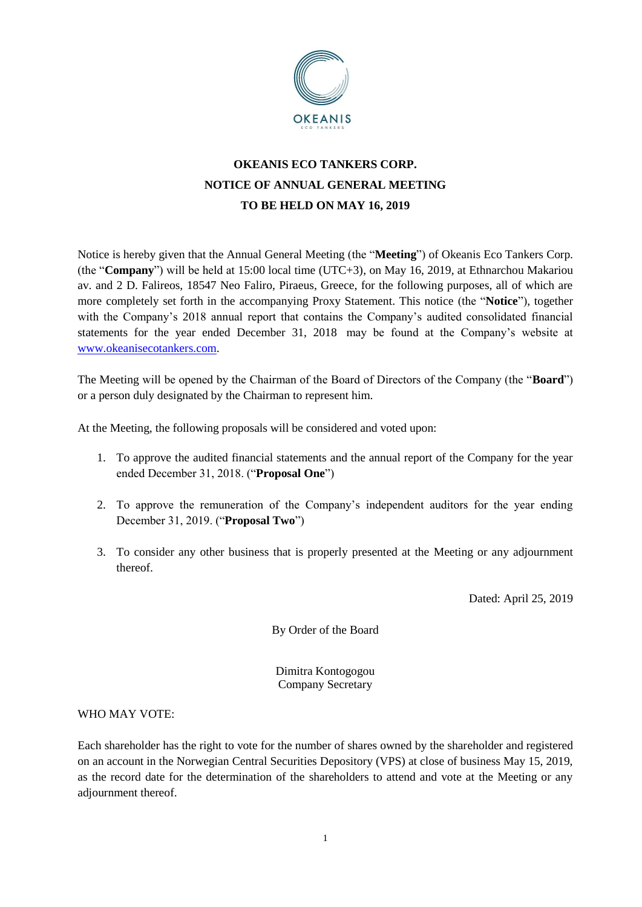

# **OKEANIS ECO TANKERS CORP. NOTICE OF ANNUAL GENERAL MEETING TO BE HELD ON MAY 16, 2019**

Notice is hereby given that the Annual General Meeting (the "**Meeting**") of Okeanis Eco Tankers Corp. (the "**Company**") will be held at 15:00 local time (UTC+3), on May 16, 2019, at Ethnarchou Makariou av. and 2 D. Falireos, 18547 Neo Faliro, Piraeus, Greece, for the following purposes, all of which are more completely set forth in the accompanying Proxy Statement. This notice (the "**Notice**"), together with the Company's 2018 annual report that contains the Company's audited consolidated financial statements for the year ended December 31, 2018 may be found at the Company's website at [www.okeanisecotankers.com.](http://www.okeanisecotankers.com/)

The Meeting will be opened by the Chairman of the Board of Directors of the Company (the "**Board**") or a person duly designated by the Chairman to represent him.

At the Meeting, the following proposals will be considered and voted upon:

- 1. To approve the audited financial statements and the annual report of the Company for the year ended December 31, 2018. ("**Proposal One**")
- 2. To approve the remuneration of the Company's independent auditors for the year ending December 31, 2019. ("**Proposal Two**")
- 3. To consider any other business that is properly presented at the Meeting or any adjournment thereof.

Dated: April 25, 2019

By Order of the Board

Dimitra Kontogogou Company Secretary

### WHO MAY VOTE:

Each shareholder has the right to vote for the number of shares owned by the shareholder and registered on an account in the Norwegian Central Securities Depository (VPS) at close of business May 15, 2019, as the record date for the determination of the shareholders to attend and vote at the Meeting or any adjournment thereof.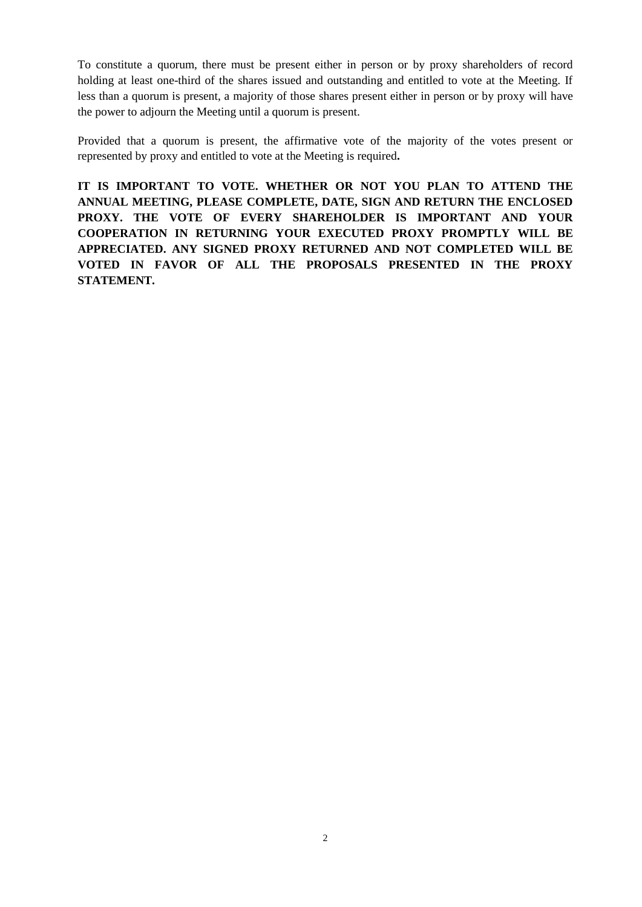To constitute a quorum, there must be present either in person or by proxy shareholders of record holding at least one-third of the shares issued and outstanding and entitled to vote at the Meeting. If less than a quorum is present, a majority of those shares present either in person or by proxy will have the power to adjourn the Meeting until a quorum is present.

Provided that a quorum is present, the affirmative vote of the majority of the votes present or represented by proxy and entitled to vote at the Meeting is required**.**

**IT IS IMPORTANT TO VOTE. WHETHER OR NOT YOU PLAN TO ATTEND THE ANNUAL MEETING, PLEASE COMPLETE, DATE, SIGN AND RETURN THE ENCLOSED PROXY. THE VOTE OF EVERY SHAREHOLDER IS IMPORTANT AND YOUR COOPERATION IN RETURNING YOUR EXECUTED PROXY PROMPTLY WILL BE APPRECIATED. ANY SIGNED PROXY RETURNED AND NOT COMPLETED WILL BE VOTED IN FAVOR OF ALL THE PROPOSALS PRESENTED IN THE PROXY STATEMENT.**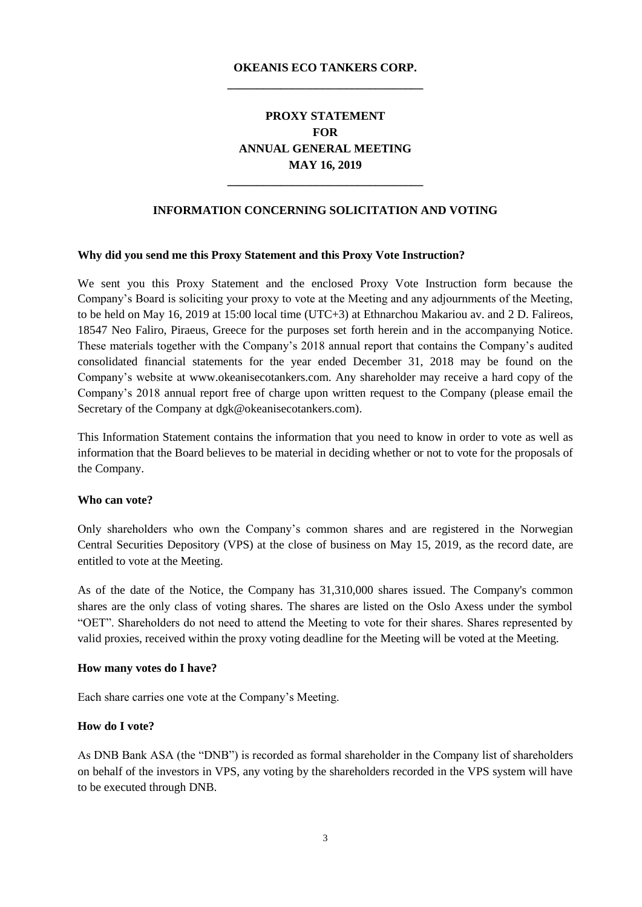## **OKEANIS ECO TANKERS CORP. \_\_\_\_\_\_\_\_\_\_\_\_\_\_\_\_\_\_\_\_\_\_\_\_\_\_\_\_\_\_\_\_\_**

## **PROXY STATEMENT FOR ANNUAL GENERAL MEETING MAY 16, 2019**

#### **INFORMATION CONCERNING SOLICITATION AND VOTING**

**\_\_\_\_\_\_\_\_\_\_\_\_\_\_\_\_\_\_\_\_\_\_\_\_\_\_\_\_\_\_\_\_\_**

#### **Why did you send me this Proxy Statement and this Proxy Vote Instruction?**

We sent you this Proxy Statement and the enclosed Proxy Vote Instruction form because the Company's Board is soliciting your proxy to vote at the Meeting and any adjournments of the Meeting, to be held on May 16, 2019 at 15:00 local time (UTC+3) at Ethnarchou Makariou av. and 2 D. Falireos, 18547 Neo Faliro, Piraeus, Greece for the purposes set forth herein and in the accompanying Notice. These materials together with the Company's 2018 annual report that contains the Company's audited consolidated financial statements for the year ended December 31, 2018 may be found on the Company's website at www.okeanisecotankers.com. Any shareholder may receive a hard copy of the Company's 2018 annual report free of charge upon written request to the Company (please email the Secretary of the Company at dgk@okeanisecotankers.com).

This Information Statement contains the information that you need to know in order to vote as well as information that the Board believes to be material in deciding whether or not to vote for the proposals of the Company.

#### **Who can vote?**

Only shareholders who own the Company's common shares and are registered in the Norwegian Central Securities Depository (VPS) at the close of business on May 15, 2019, as the record date, are entitled to vote at the Meeting.

As of the date of the Notice, the Company has 31,310,000 shares issued. The Company's common shares are the only class of voting shares. The shares are listed on the Oslo Axess under the symbol "OET". Shareholders do not need to attend the Meeting to vote for their shares. Shares represented by valid proxies, received within the proxy voting deadline for the Meeting will be voted at the Meeting.

#### **How many votes do I have?**

Each share carries one vote at the Company's Meeting.

#### **How do I vote?**

As DNB Bank ASA (the "DNB") is recorded as formal shareholder in the Company list of shareholders on behalf of the investors in VPS, any voting by the shareholders recorded in the VPS system will have to be executed through DNB.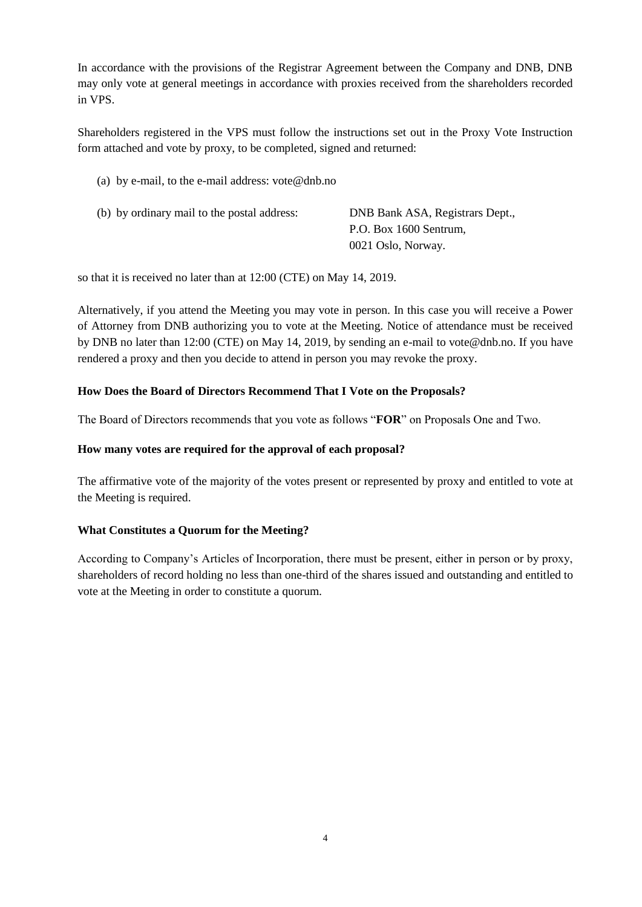In accordance with the provisions of the Registrar Agreement between the Company and DNB, DNB may only vote at general meetings in accordance with proxies received from the shareholders recorded in VPS.

Shareholders registered in the VPS must follow the instructions set out in the Proxy Vote Instruction form attached and vote by proxy, to be completed, signed and returned:

(a) by e-mail, to the e-mail address: [vote@dnb.no](mailto:vote@dnb.no)

| (b) by ordinary mail to the postal address: | DNB Bank ASA, Registrars Dept., |  |
|---------------------------------------------|---------------------------------|--|
|                                             | P.O. Box 1600 Sentrum,          |  |
|                                             | 0021 Oslo, Norway.              |  |

so that it is received no later than at 12:00 (CTE) on May 14, 2019.

Alternatively, if you attend the Meeting you may vote in person. In this case you will receive a Power of Attorney from DNB authorizing you to vote at the Meeting. Notice of attendance must be received by DNB no later than 12:00 (CTE) on May 14, 2019, by sending an e-mail to [vote@dnb.no.](mailto:vote@dnb.no) If you have rendered a proxy and then you decide to attend in person you may revoke the proxy.

### **How Does the Board of Directors Recommend That I Vote on the Proposals?**

The Board of Directors recommends that you vote as follows "**FOR**" on Proposals One and Two.

### **How many votes are required for the approval of each proposal?**

The affirmative vote of the majority of the votes present or represented by proxy and entitled to vote at the Meeting is required.

#### **What Constitutes a Quorum for the Meeting?**

According to Company's Articles of Incorporation, there must be present, either in person or by proxy, shareholders of record holding no less than one-third of the shares issued and outstanding and entitled to vote at the Meeting in order to constitute a quorum.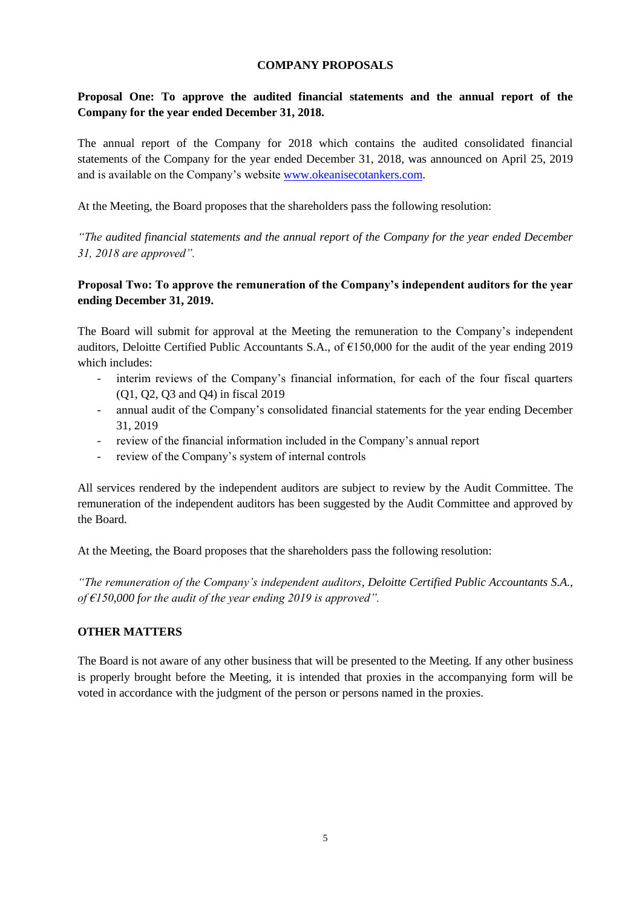#### **COMPANY PROPOSALS**

## **Proposal One: To approve the audited financial statements and the annual report of the Company for the year ended December 31, 2018.**

The annual report of the Company for 2018 which contains the audited consolidated financial statements of the Company for the year ended December 31, 2018, was announced on April 25, 2019 and is available on the Company's website [www.okeanisecotankers.com.](http://www.okeanisecotankers.com/)

At the Meeting, the Board proposes that the shareholders pass the following resolution:

*"The audited financial statements and the annual report of the Company for the year ended December 31, 2018 are approved".*

## **Proposal Two: To approve the remuneration of the Company's independent auditors for the year ending December 31, 2019.**

The Board will submit for approval at the Meeting the remuneration to the Company's independent auditors, Deloitte Certified Public Accountants S.A., of €150,000 for the audit of the year ending 2019 which includes:

- interim reviews of the Company's financial information, for each of the four fiscal quarters (Q1, Q2, Q3 and Q4) in fiscal 2019
- annual audit of the Company's consolidated financial statements for the year ending December 31, 2019
- review of the financial information included in the Company's annual report
- review of the Company's system of internal controls

All services rendered by the independent auditors are subject to review by the Audit Committee. The remuneration of the independent auditors has been suggested by the Audit Committee and approved by the Board.

At the Meeting, the Board proposes that the shareholders pass the following resolution:

*"The remuneration of the Company's independent auditors, Deloitte Certified Public Accountants S.A., of €150,000 for the audit of the year ending 2019 is approved".*

### **OTHER MATTERS**

The Board is not aware of any other business that will be presented to the Meeting. If any other business is properly brought before the Meeting, it is intended that proxies in the accompanying form will be voted in accordance with the judgment of the person or persons named in the proxies.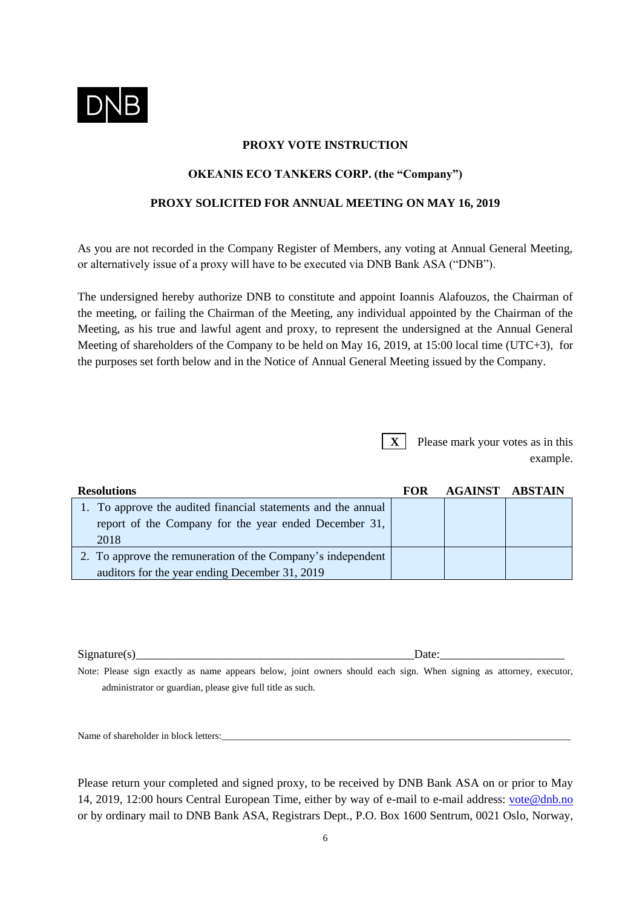

#### **PROXY VOTE INSTRUCTION**

### **OKEANIS ECO TANKERS CORP. (the "Company")**

#### **PROXY SOLICITED FOR ANNUAL MEETING ON MAY 16, 2019**

As you are not recorded in the Company Register of Members, any voting at Annual General Meeting, or alternatively issue of a proxy will have to be executed via DNB Bank ASA ("DNB").

The undersigned hereby authorize DNB to constitute and appoint Ioannis Alafouzos, the Chairman of the meeting, or failing the Chairman of the Meeting, any individual appointed by the Chairman of the Meeting, as his true and lawful agent and proxy, to represent the undersigned at the Annual General Meeting of shareholders of the Company to be held on May 16, 2019, at 15:00 local time (UTC+3), for the purposes set forth below and in the Notice of Annual General Meeting issued by the Company.

> **X** Please mark your votes as in this example.

| <b>Resolutions</b>                                            | FOR | <b>AGAINST ABSTAIN</b> |  |
|---------------------------------------------------------------|-----|------------------------|--|
| 1. To approve the audited financial statements and the annual |     |                        |  |
| report of the Company for the year ended December 31,         |     |                        |  |
| 2018                                                          |     |                        |  |
| 2. To approve the remuneration of the Company's independent   |     |                        |  |
| auditors for the year ending December 31, 2019                |     |                        |  |

 $Signature(s)$  Date:

Note: Please sign exactly as name appears below, joint owners should each sign. When signing as attorney, executor, administrator or guardian, please give full title as such.

Name of shareholder in block letters:

Please return your completed and signed proxy, to be received by DNB Bank ASA on or prior to May 14, 2019, 12:00 hours Central European Time, either by way of e-mail to e-mail address: [vote@dnb.no](mailto:vote@dnb.no) or by ordinary mail to DNB Bank ASA, Registrars Dept., P.O. Box 1600 Sentrum, 0021 Oslo, Norway,